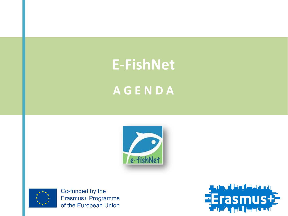# **E-FishNet A G E N D A**





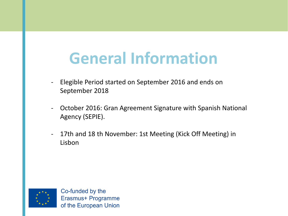#### **General Information**

- Elegible Period started on September 2016 and ends on September 2018
- October 2016: Gran Agreement Signature with Spanish National Agency (SEPIE).
- 17th and 18 th November: 1st Meeting (Kick Off Meeting) in Lisbon

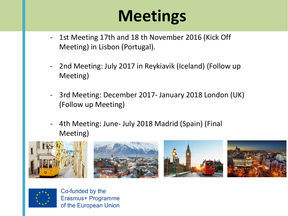## **Meetings**

- 1st Meeting 17th and 18 th November 2016 (Kick Off Meeting) in Lisbon (Portugal).
- 2nd Meeting: July 2017 in Reykiavik (Iceland) (Follow up Meeting)
- 3rd Meeting: December 2017- January 2018 London (UK) (Follow up Meeting)
- 4th Meeting: June- July 2018 Madrid (Spain) (Final Meeting)



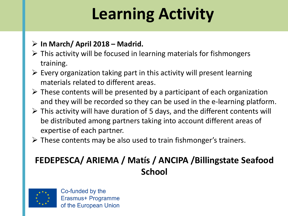# **Learning Activity**

#### **In March/ April 2018 – Madrid.**

- $\triangleright$  This activity will be focused in learning materials for fishmongers training.
- $\triangleright$  Every organization taking part in this activity will present learning materials related to different areas.
- $\triangleright$  These contents will be presented by a participant of each organization and they will be recorded so they can be used in the e-learning platform.
- $\triangleright$  This activity will have duration of 5 days, and the different contents will be distributed among partners taking into account different areas of expertise of each partner.
- $\triangleright$  These contents may be also used to train fishmonger's trainers.

#### **FEDEPESCA/ ARIEMA / Matís / ANCIPA /Billingstate Seafood School**

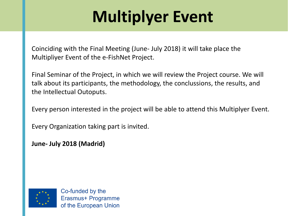# **Multiplyer Event**

Coinciding with the Final Meeting (June- July 2018) it will take place the Multipliyer Event of the e-FishNet Project.

Final Seminar of the Project, in which we will review the Project course. We will talk about its participants, the methodology, the conclussions, the results, and the Intellectual Outoputs.

Every person interested in the project will be able to attend this Multiplyer Event.

Every Organization taking part is invited.

**June- July 2018 (Madrid)**

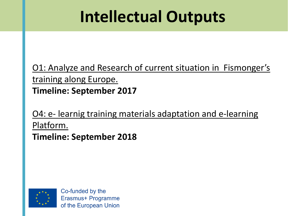## **Intellectual Outputs**

O1: Analyze and Research of current situation in Fismonger's training along Europe. **Timeline: September 2017**

O4: e- learnig training materials adaptation and e-learning Platform. **Timeline: September 2018**

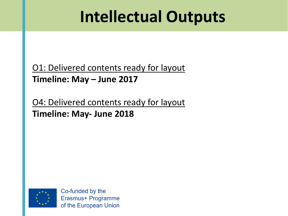#### **Intellectual Outputs**

O1: Delivered contents ready for layout **Timeline: May – June 2017**

O4: Delivered contents ready for layout **Timeline: May- June 2018**

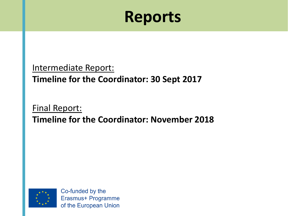#### **Reports**

#### Intermediate Report: **Timeline for the Coordinator: 30 Sept 2017**

#### Final Report: **Timeline for the Coordinator: November 2018**

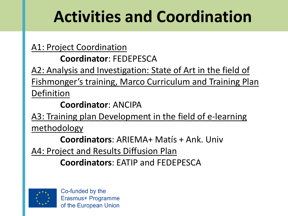## **Activities and Coordination**

A1: Project Coordination

**Coordinator**: FEDEPESCA

A2: Analysis and Investigation: State of Art in the field of Fishmonger's training, Marco Curriculum and Training Plan Definition

**Coordinator**: ANCIPA

A3: Training plan Development in the field of e-learning methodology

**Coordinators**: ARIEMA+ Matís + Ank. Univ

A4: Project and Results Diffusion Plan

**Coordinators**: EATIP and FEDEPESCA

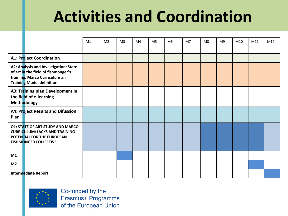#### **Activities and Coordination**

|                |                                                                                                                                                    | M1 | M <sub>2</sub> | M <sub>3</sub> | M <sub>4</sub> | M <sub>5</sub> | M <sub>6</sub> | M7 | M <sub>8</sub> | M <sub>9</sub> | M10 | M11 | M12 |
|----------------|----------------------------------------------------------------------------------------------------------------------------------------------------|----|----------------|----------------|----------------|----------------|----------------|----|----------------|----------------|-----|-----|-----|
|                |                                                                                                                                                    |    |                |                |                |                |                |    |                |                |     |     |     |
|                | <b>A1: Project Coordination</b>                                                                                                                    |    |                |                |                |                |                |    |                |                |     |     |     |
|                | A2: Analysis and Investigation: State<br>of art in the field of fishmonger's<br>training. Marco Curriculum an<br><b>Training Model definition.</b> |    |                |                |                |                |                |    |                |                |     |     |     |
|                | A3: Training plan Development in<br>the field of e-learning<br>Methodology                                                                         |    |                |                |                |                |                |    |                |                |     |     |     |
| Plan           | A4: Project Results and Difussion                                                                                                                  |    |                |                |                |                |                |    |                |                |     |     |     |
|                | <b>O1: STATE OF ART STUDY AND MARCO</b><br><b>CURRICULUM: LACKS AND TRAINING</b><br>POTENTIAL FOR THE EUROPEAN<br><b>FISHMONGER COLLECTIVE</b>     |    |                |                |                |                |                |    |                |                |     |     |     |
| M1             |                                                                                                                                                    |    |                |                |                |                |                |    |                |                |     |     |     |
| M <sub>2</sub> |                                                                                                                                                    |    |                |                |                |                |                |    |                |                |     |     |     |
|                | Intermediate Report                                                                                                                                |    |                |                |                |                |                |    |                |                |     |     |     |